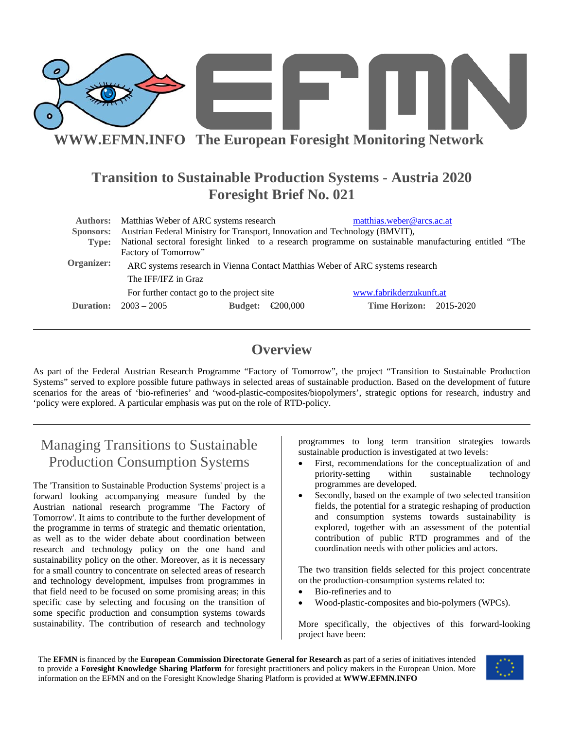

# **Transition to Sustainable Production Systems - Austria 2020 Foresight Brief No. 021**

| <b>Authors:</b><br>Sponsors:<br>Type: | Matthias Weber of ARC systems research<br>matthias.weber@arcs.ac.at<br>Austrian Federal Ministry for Transport, Innovation and Technology (BMVIT),<br>National sectoral foresight linked to a research programme on sustainable manufacturing entitled "The<br>Factory of Tomorrow"<br>ARC systems research in Vienna Contact Matthias Weber of ARC systems research |          |                                |  |
|---------------------------------------|----------------------------------------------------------------------------------------------------------------------------------------------------------------------------------------------------------------------------------------------------------------------------------------------------------------------------------------------------------------------|----------|--------------------------------|--|
| Organizer:                            |                                                                                                                                                                                                                                                                                                                                                                      |          |                                |  |
|                                       | The IFF/IFZ in Graz                                                                                                                                                                                                                                                                                                                                                  |          |                                |  |
|                                       | For further contact go to the project site                                                                                                                                                                                                                                                                                                                           |          | www.fabrikderzukunft.at        |  |
| Duration:                             | $2003 - 2005$<br><b>Budget:</b>                                                                                                                                                                                                                                                                                                                                      | €200,000 | <b>Time Horizon:</b> 2015-2020 |  |

## **Overview**

As part of the Federal Austrian Research Programme "Factory of Tomorrow", the project "Transition to Sustainable Production Systems" served to explore possible future pathways in selected areas of sustainable production. Based on the development of future scenarios for the areas of 'bio-refineries' and 'wood-plastic-composites/biopolymers', strategic options for research, industry and 'policy were explored. A particular emphasis was put on the role of RTD-policy.

# Managing Transitions to Sustainable Production Consumption Systems

The 'Transition to Sustainable Production Systems' project is a forward looking accompanying measure funded by the Austrian national research programme 'The Factory of Tomorrow'. It aims to contribute to the further development of the programme in terms of strategic and thematic orientation, as well as to the wider debate about coordination between research and technology policy on the one hand and sustainability policy on the other. Moreover, as it is necessary for a small country to concentrate on selected areas of research and technology development, impulses from programmes in that field need to be focused on some promising areas; in this specific case by selecting and focusing on the transition of some specific production and consumption systems towards sustainability. The contribution of research and technology

programmes to long term transition strategies towards sustainable production is investigated at two levels:

- First, recommendations for the conceptualization of and priority-setting within sustainable technology programmes are developed.
- Secondly, based on the example of two selected transition fields, the potential for a strategic reshaping of production and consumption systems towards sustainability is explored, together with an assessment of the potential contribution of public RTD programmes and of the coordination needs with other policies and actors.

The two transition fields selected for this project concentrate on the production-consumption systems related to:

- Bio-refineries and to
- Wood-plastic-composites and bio-polymers (WPCs).

More specifically, the objectives of this forward-looking project have been:

The **EFMN** is financed by the **European Commission Directorate General for Research** as part of a series of initiatives intended to provide a **Foresight Knowledge Sharing Platform** for foresight practitioners and policy makers in the European Union. More information on the EFMN and on the Foresight Knowledge Sharing Platform is provided at **WWW.EFMN.INFO**

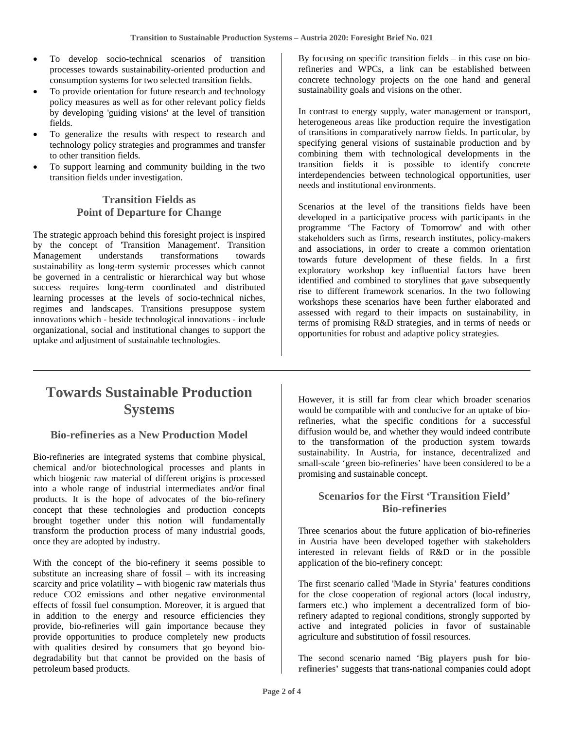- To develop socio-technical scenarios of transition processes towards sustainability-oriented production and consumption systems for two selected transition fields.
- To provide orientation for future research and technology policy measures as well as for other relevant policy fields by developing 'guiding visions' at the level of transition fields.
- To generalize the results with respect to research and technology policy strategies and programmes and transfer to other transition fields.
- To support learning and community building in the two transition fields under investigation.

#### **Transition Fields as Point of Departure for Change**

The strategic approach behind this foresight project is inspired by the concept of 'Transition Management'. Transition Management understands transformations towards sustainability as long-term systemic processes which cannot be governed in a centralistic or hierarchical way but whose success requires long-term coordinated and distributed learning processes at the levels of socio-technical niches, regimes and landscapes. Transitions presuppose system innovations which - beside technological innovations - include organizational, social and institutional changes to support the uptake and adjustment of sustainable technologies.

By focusing on specific transition fields – in this case on biorefineries and WPCs, a link can be established between concrete technology projects on the one hand and general sustainability goals and visions on the other.

In contrast to energy supply, water management or transport, heterogeneous areas like production require the investigation of transitions in comparatively narrow fields. In particular, by specifying general visions of sustainable production and by combining them with technological developments in the transition fields it is possible to identify concrete interdependencies between technological opportunities, user needs and institutional environments.

Scenarios at the level of the transitions fields have been developed in a participative process with participants in the programme 'The Factory of Tomorrow' and with other stakeholders such as firms, research institutes, policy-makers and associations, in order to create a common orientation towards future development of these fields. In a first exploratory workshop key influential factors have been identified and combined to storylines that gave subsequently rise to different framework scenarios. In the two following workshops these scenarios have been further elaborated and assessed with regard to their impacts on sustainability, in terms of promising R&D strategies, and in terms of needs or opportunities for robust and adaptive policy strategies.

# **Towards Sustainable Production Systems**

#### **Bio-refineries as a New Production Model**

Bio-refineries are integrated systems that combine physical, chemical and/or biotechnological processes and plants in which biogenic raw material of different origins is processed into a whole range of industrial intermediates and/or final products. It is the hope of advocates of the bio-refinery concept that these technologies and production concepts brought together under this notion will fundamentally transform the production process of many industrial goods, once they are adopted by industry.

With the concept of the bio-refinery it seems possible to substitute an increasing share of fossil – with its increasing scarcity and price volatility – with biogenic raw materials thus reduce CO2 emissions and other negative environmental effects of fossil fuel consumption. Moreover, it is argued that in addition to the energy and resource efficiencies they provide, bio-refineries will gain importance because they provide opportunities to produce completely new products with qualities desired by consumers that go beyond biodegradability but that cannot be provided on the basis of petroleum based products.

However, it is still far from clear which broader scenarios would be compatible with and conducive for an uptake of biorefineries, what the specific conditions for a successful diffusion would be, and whether they would indeed contribute to the transformation of the production system towards sustainability. In Austria, for instance, decentralized and small-scale 'green bio-refineries' have been considered to be a promising and sustainable concept.

#### **Scenarios for the First 'Transition Field' Bio-refineries**

Three scenarios about the future application of bio-refineries in Austria have been developed together with stakeholders interested in relevant fields of R&D or in the possible application of the bio-refinery concept:

The first scenario called '**Made in Styria**' features conditions for the close cooperation of regional actors (local industry, farmers etc.) who implement a decentralized form of biorefinery adapted to regional conditions, strongly supported by active and integrated policies in favor of sustainable agriculture and substitution of fossil resources.

The second scenario named '**Big players push for biorefineries'** suggests that trans-national companies could adopt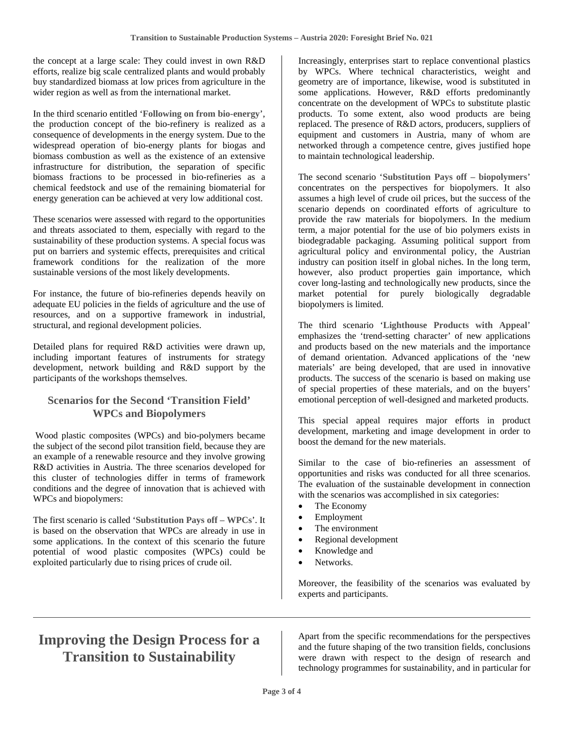the concept at a large scale: They could invest in own R&D efforts, realize big scale centralized plants and would probably buy standardized biomass at low prices from agriculture in the wider region as well as from the international market.

In the third scenario entitled '**Following on from bio-energy**', the production concept of the bio-refinery is realized as a consequence of developments in the energy system. Due to the widespread operation of bio-energy plants for biogas and biomass combustion as well as the existence of an extensive infrastructure for distribution, the separation of specific biomass fractions to be processed in bio-refineries as a chemical feedstock and use of the remaining biomaterial for energy generation can be achieved at very low additional cost.

These scenarios were assessed with regard to the opportunities and threats associated to them, especially with regard to the sustainability of these production systems. A special focus was put on barriers and systemic effects, prerequisites and critical framework conditions for the realization of the more sustainable versions of the most likely developments.

For instance, the future of bio-refineries depends heavily on adequate EU policies in the fields of agriculture and the use of resources, and on a supportive framework in industrial, structural, and regional development policies.

Detailed plans for required R&D activities were drawn up, including important features of instruments for strategy development, network building and R&D support by the participants of the workshops themselves.

### **Scenarios for the Second 'Transition Field' WPCs and Biopolymers**

 Wood plastic composites (WPCs) and bio-polymers became the subject of the second pilot transition field, because they are an example of a renewable resource and they involve growing R&D activities in Austria. The three scenarios developed for this cluster of technologies differ in terms of framework conditions and the degree of innovation that is achieved with WPCs and biopolymers:

The first scenario is called '**Substitution Pays off – WPCs**'. It is based on the observation that WPCs are already in use in some applications. In the context of this scenario the future potential of wood plastic composites (WPCs) could be exploited particularly due to rising prices of crude oil.

Increasingly, enterprises start to replace conventional plastics by WPCs. Where technical characteristics, weight and geometry are of importance, likewise, wood is substituted in some applications. However, R&D efforts predominantly concentrate on the development of WPCs to substitute plastic products. To some extent, also wood products are being replaced. The presence of R&D actors, producers, suppliers of equipment and customers in Austria, many of whom are networked through a competence centre, gives justified hope to maintain technological leadership.

The second scenario '**Substitution Pays off – biopolymers**' concentrates on the perspectives for biopolymers. It also assumes a high level of crude oil prices, but the success of the scenario depends on coordinated efforts of agriculture to provide the raw materials for biopolymers. In the medium term, a major potential for the use of bio polymers exists in biodegradable packaging. Assuming political support from agricultural policy and environmental policy, the Austrian industry can position itself in global niches. In the long term, however, also product properties gain importance, which cover long-lasting and technologically new products, since the market potential for purely biologically degradable biopolymers is limited.

The third scenario '**Lighthouse Products with Appeal**' emphasizes the 'trend-setting character' of new applications and products based on the new materials and the importance of demand orientation. Advanced applications of the 'new materials' are being developed, that are used in innovative products. The success of the scenario is based on making use of special properties of these materials, and on the buyers' emotional perception of well-designed and marketed products.

This special appeal requires major efforts in product development, marketing and image development in order to boost the demand for the new materials.

Similar to the case of bio-refineries an assessment of opportunities and risks was conducted for all three scenarios. The evaluation of the sustainable development in connection with the scenarios was accomplished in six categories:

- The Economy
- **Employment**
- The environment
- Regional development
- Knowledge and
- Networks.

Moreover, the feasibility of the scenarios was evaluated by experts and participants.

# **Improving the Design Process for a Transition to Sustainability**

Apart from the specific recommendations for the perspectives and the future shaping of the two transition fields, conclusions were drawn with respect to the design of research and technology programmes for sustainability, and in particular for